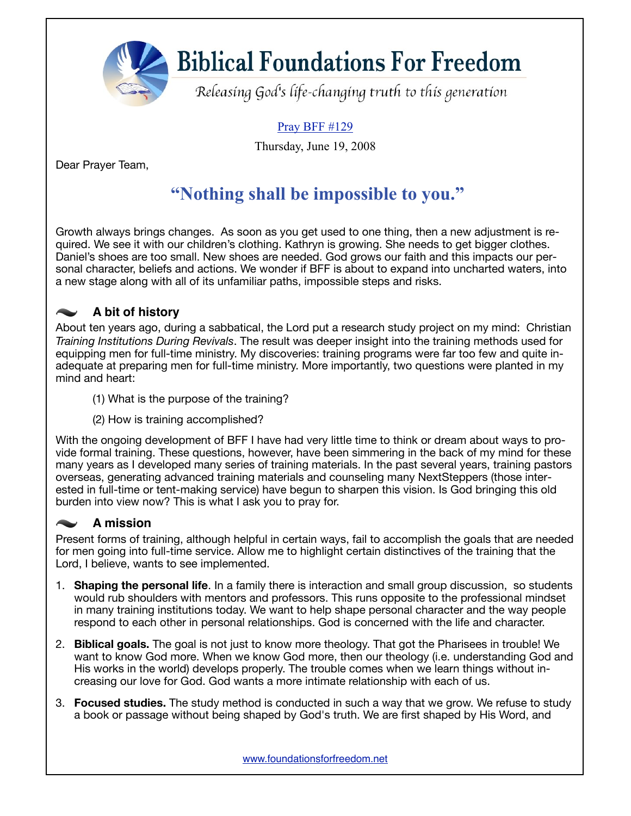**Biblical Foundations For Freedom** 

Releasing God's life-changing truth to this generation

### Pray BFF #129

Thursday, June 19, 2008

Dear Prayer Team,

## **"Nothing shall be impossible to you."**

Growth always brings changes. As soon as you get used to one thing, then a new adjustment is required. We see it with our children's clothing. Kathryn is growing. She needs to get bigger clothes. Daniel's shoes are too small. New shoes are needed. God grows our faith and this impacts our personal character, beliefs and actions. We wonder if BFF is about to expand into uncharted waters, into a new stage along with all of its unfamiliar paths, impossible steps and risks.

#### **A bit of history**  $\overline{\phantom{m}}$

About ten years ago, during a sabbatical, the Lord put a research study project on my mind: Christian *Training Institutions During Revivals*. The result was deeper insight into the training methods used for equipping men for full-time ministry. My discoveries: training programs were far too few and quite inadequate at preparing men for full-time ministry. More importantly, two questions were planted in my mind and heart:

- (1) What is the purpose of the training?
- (2) How is training accomplished?

With the ongoing development of BFF I have had very little time to think or dream about ways to provide formal training. These questions, however, have been simmering in the back of my mind for these many years as I developed many series of training materials. In the past several years, training pastors overseas, generating advanced training materials and counseling many NextSteppers (those interested in full-time or tent-making service) have begun to sharpen this vision. Is God bringing this old burden into view now? This is what I ask you to pray for.

### **A mission**

Present forms of training, although helpful in certain ways, fail to accomplish the goals that are needed for men going into full-time service. Allow me to highlight certain distinctives of the training that the Lord, I believe, wants to see implemented.

- 1. **Shaping the personal life**. In a family there is interaction and small group discussion, so students would rub shoulders with mentors and professors. This runs opposite to the professional mindset in many training institutions today. We want to help shape personal character and the way people respond to each other in personal relationships. God is concerned with the life and character.
- 2. **Biblical goals.** The goal is not just to know more theology. That got the Pharisees in trouble! We want to know God more. When we know God more, then our theology (i.e. understanding God and His works in the world) develops properly. The trouble comes when we learn things without increasing our love for God. God wants a more intimate relationship with each of us.
- 3. **Focused studies.** The study method is conducted in such a way that we grow. We refuse to study a book or passage without being shaped by God's truth. We are first shaped by His Word, and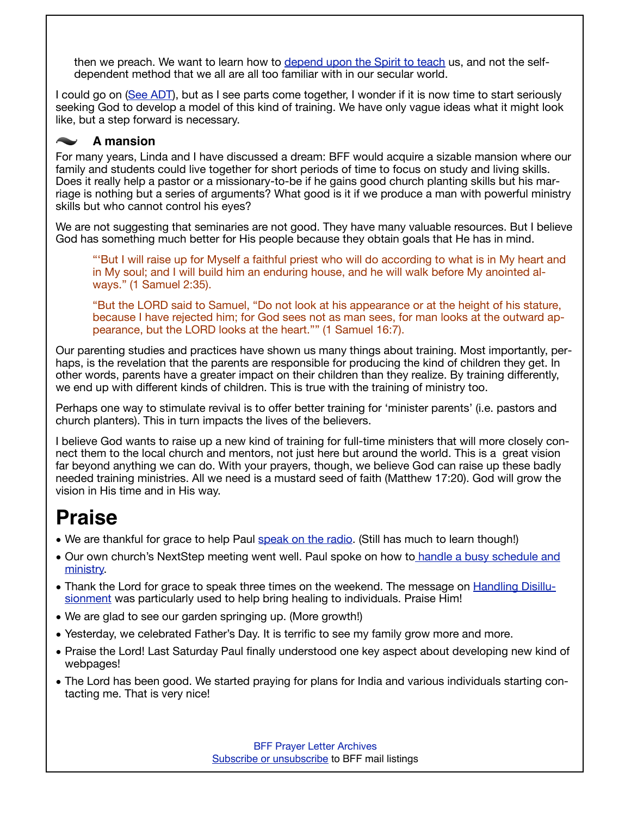then we preach. We want to learn how to [depend upon the Spirit to teach](http://www.foundationsforfreedom.net/Topics/DiscipleshipConcepts/SpiritTeaching.html) us, and not the selfdependent method that we all are all too familiar with in our secular world.

I could go on [\(See ADT](http://www.foundationsforfreedom.net/Topics/ADT/Intro/ADT01_IntroPurpose.html)), but as I see parts come together, I wonder if it is now time to start seriously seeking God to develop a model of this kind of training. We have only vague ideas what it might look like, but a step forward is necessary.

#### **A mansion**

For many years, Linda and I have discussed a dream: BFF would acquire a sizable mansion where our family and students could live together for short periods of time to focus on study and living skills. Does it really help a pastor or a missionary-to-be if he gains good church planting skills but his marriage is nothing but a series of arguments? What good is it if we produce a man with powerful ministry skills but who cannot control his eyes?

We are not suggesting that seminaries are not good. They have many valuable resources. But I believe God has something much better for His people because they obtain goals that He has in mind.

"'But I will raise up for Myself a faithful priest who will do according to what is in My heart and in My soul; and I will build him an enduring house, and he will walk before My anointed always." (1 Samuel 2:35).

"But the LORD said to Samuel, "Do not look at his appearance or at the height of his stature, because I have rejected him; for God sees not as man sees, for man looks at the outward appearance, but the LORD looks at the heart."" (1 Samuel 16:7).

Our parenting studies and practices have shown us many things about training. Most importantly, perhaps, is the revelation that the parents are responsible for producing the kind of children they get. In other words, parents have a greater impact on their children than they realize. By training differently, we end up with different kinds of children. This is true with the training of ministry too.

Perhaps one way to stimulate revival is to offer better training for 'minister parents' (i.e. pastors and church planters). This in turn impacts the lives of the believers.

I believe God wants to raise up a new kind of training for full-time ministers that will more closely connect them to the local church and mentors, not just here but around the world. This is a great vision far beyond anything we can do. With your prayers, though, we believe God can raise up these badly needed training ministries. All we need is a mustard seed of faith (Matthew 17:20). God will grow the vision in His time and in His way.

## **Praise**

- We are thankful for grace to help Paul [speak on the radio](http://www.pittsburghstandard.com/JUNE2008/EXPRESSIONS/DEVOTIONALS/PastorBucknellInterview.mp3). (Still has much to learn though!)
- Our own church's NextStep meeting went well. Paul spoke on how t[o handle a busy schedule and](http://foundationsforfreedom.net/Topics/Disciple/Scheduling/Scheduling_intro_S.html)  [ministry.](http://foundationsforfreedom.net/Topics/Disciple/Scheduling/Scheduling_intro_S.html)
- Thank the Lord for grace to speak three times on the weekend. The message on [Handling Disillu](http://www.foundationsforfreedom.net/References/OT/Pentateuch/Genesis/16Joseph/Genesis42-47_1-Handling-Disillusionment.html)[sionment](http://www.foundationsforfreedom.net/References/OT/Pentateuch/Genesis/16Joseph/Genesis42-47_1-Handling-Disillusionment.html) was particularly used to help bring healing to individuals. Praise Him!
- We are glad to see our garden springing up. (More growth!)
- Yesterday, we celebrated Father's Day. It is terrific to see my family grow more and more.
- Praise the Lord! Last Saturday Paul finally understood one key aspect about developing new kind of webpages!
- The Lord has been good. We started praying for plans for India and various individuals starting contacting me. That is very nice!

[BFF Prayer Letter Archives](http://www.foundationsforfreedom.net/Help/TeamsF/Pray/Archives/Archiver.html) [Subscribe or unsubscribe](http://www.foundationsforfreedom.net/cgi-bin/dada/mail.cgi) to BFF mail listings